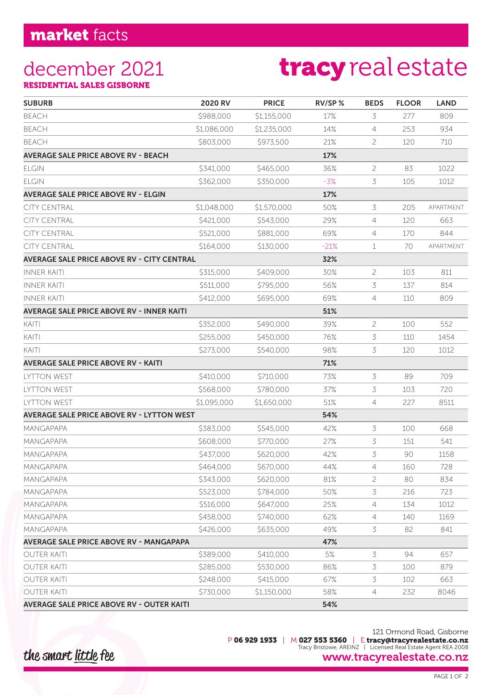## december 2021

# tracy real estate

RESIDENTIAL SALES GISBORNE

| <b>SUBURB</b>                                     | 2020 RV     | <b>PRICE</b> | RV/SP% | <b>BEDS</b>    | <b>FLOOR</b> | <b>LAND</b> |
|---------------------------------------------------|-------------|--------------|--------|----------------|--------------|-------------|
| <b>BEACH</b>                                      | \$988,000   | \$1,155,000  | 17%    | 3              | 277          | 809         |
| <b>BEACH</b>                                      | \$1,086,000 | \$1,235,000  | 14%    | 4              | 253          | 934         |
| <b>BEACH</b>                                      | \$803,000   | \$973,500    | 21%    | 2              | 120          | 710         |
| <b>AVERAGE SALE PRICE ABOVE RV - BEACH</b>        |             |              | 17%    |                |              |             |
| <b>ELGIN</b>                                      | \$341,000   | \$465,000    | 36%    | $\overline{c}$ | 83           | 1022        |
| <b>ELGIN</b>                                      | \$362,000   | \$350,000    | $-3%$  | 3              | 105          | 1012        |
| <b>AVERAGE SALE PRICE ABOVE RV - ELGIN</b>        |             |              | 17%    |                |              |             |
| <b>CITY CENTRAL</b>                               | \$1,048,000 | \$1,570,000  | 50%    | 3              | 205          | APARTMENT   |
| <b>CITY CENTRAL</b>                               | \$421,000   | \$543,000    | 29%    | 4              | 120          | 663         |
| <b>CITY CENTRAL</b>                               | \$521,000   | \$881,000    | 69%    | 4              | 170          | 844         |
| <b>CITY CENTRAL</b>                               | \$164,000   | \$130,000    | $-21%$ | 1              | 70           | APARTMENT   |
| <b>AVERAGE SALE PRICE ABOVE RV - CITY CENTRAL</b> |             |              | 32%    |                |              |             |
| <b>INNER KAITI</b>                                | \$315,000   | \$409,000    | 30%    | $\overline{c}$ | 103          | 811         |
| <b>INNER KAITI</b>                                | \$511,000   | \$795,000    | 56%    | 3              | 137          | 814         |
| INNER KAITI                                       | \$412,000   | \$695,000    | 69%    | 4              | 110          | 809         |
| <b>AVERAGE SALE PRICE ABOVE RV - INNER KAITI</b>  |             |              | 51%    |                |              |             |
| KAITI                                             | \$352,000   | \$490,000    | 39%    | 2              | 100          | 552         |
| KAITI                                             | \$255,000   | \$450,000    | 76%    | 3              | 110          | 1454        |
| KAITI                                             | \$273,000   | \$540,000    | 98%    | 3              | 120          | 1012        |
| <b>AVERAGE SALE PRICE ABOVE RV - KAITI</b>        |             |              | 71%    |                |              |             |
| LYTTON WEST                                       | \$410,000   | \$710,000    | 73%    | 3              | 89           | 709         |
| LYTTON WEST                                       | \$568,000   | \$780,000    | 37%    | 3              | 103          | 720         |
| <b>LYTTON WEST</b>                                | \$1,095,000 | \$1,650,000  | 51%    | 4              | 227          | 8511        |
| <b>AVERAGE SALE PRICE ABOVE RV - LYTTON WEST</b>  |             |              | 54%    |                |              |             |
| <b>MANGAPAPA</b>                                  | \$383,000   | \$545,000    | 42%    | 3              | 100          | 668         |
| <b>MANGAPAPA</b>                                  | \$608,000   | \$770,000    | 27%    | 3              | 151          | 541         |
| MANGAPAPA                                         | \$437,000   | \$620,000    | 42%    | 3              | 90           | 1158        |
| MANGAPAPA                                         | \$464,000   | \$670,000    | 44%    | 4              | 160          | 728         |
| MANGAPAPA                                         | \$343,000   | \$620,000    | 81%    | 2              | 80           | 834         |
| <b>MANGAPAPA</b>                                  | \$523,000   | \$784,000    | 50%    | 3              | 216          | 723         |
| <b>MANGAPAPA</b>                                  | \$516,000   | \$647,000    | 25%    | 4              | 134          | 1012        |
| <b>MANGAPAPA</b>                                  | \$458,000   | \$740,000    | 62%    | 4              | 140          | 1169        |
| MANGAPAPA                                         | \$426,000   | \$635,000    | 49%    | 3              | 82           | 841         |
| <b>AVERAGE SALE PRICE ABOVE RV - MANGAPAPA</b>    |             |              | 47%    |                |              |             |
| <b>OUTER KAITI</b>                                | \$389,000   | \$410,000    | $5%$   | 3              | 94           | 657         |
| <b>OUTER KAITI</b>                                | \$285,000   | \$530,000    | 86%    | 3              | 100          | 879         |
| <b>OUTER KAITI</b>                                | \$248,000   | \$415,000    | 67%    | 3              | 102          | 663         |
| <b>OUTER KAITI</b>                                | \$730,000   | \$1,150,000  | 58%    | 4              | 232          | 8046        |
| <b>AVERAGE SALE PRICE ABOVE RV - OUTER KAITI</b>  |             |              | 54%    |                |              |             |

#### 121 Ormond Road, Gisborne P 06 929 1933 | M 027 553 5360 | E tracy@tracyrealestate.co.nz Tracy Bristowe, AREINZ | Licensed Real Estate Agent REA 2008 www.tracyrealestate.co.nz

the smart little fee